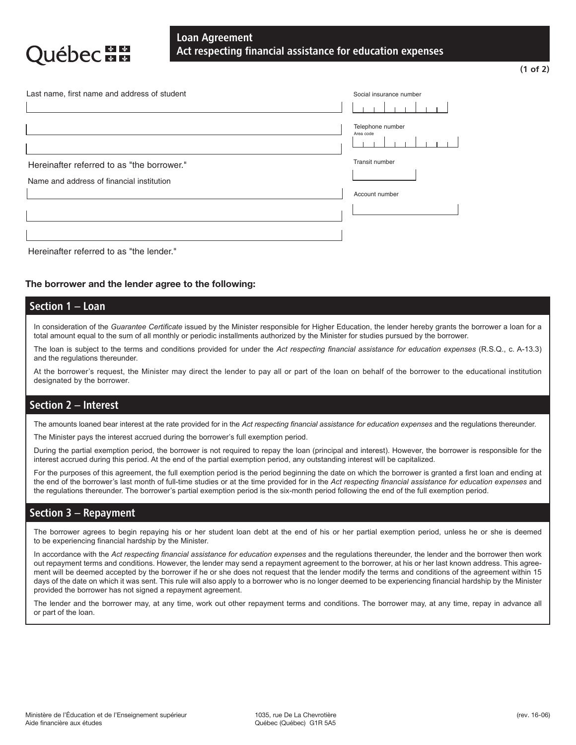# Loan Agreement Act respecting financial assistance for education expenses

| Last name, first name and address of student | Social insurance number       |  |  |  |
|----------------------------------------------|-------------------------------|--|--|--|
|                                              |                               |  |  |  |
|                                              | Telephone number<br>Area code |  |  |  |
| Hereinafter referred to as "the borrower."   | Transit number                |  |  |  |
| Name and address of financial institution    |                               |  |  |  |
|                                              | Account number                |  |  |  |
|                                              |                               |  |  |  |
|                                              |                               |  |  |  |

*Act respecting financial assistance for education expenses*

#### Hereinafter referred to as "the lender."

**DECEE** 

### **The borrower and the lender agree to the following: The borrower and the lender agree to the following:**

#### **Section 1 – Loan** In consideration of the *Guarantee Certificate* issued by the Minister of Higher Education, Research, Science and Technology,

In consideration of the Guarantee Certificate issued by the Minister responsible for Higher Education, the lender hereby grants the borrower a loan for a In consideration of the Guarantee Centricate issued by the minister responsible for higher Education, the lender hereby grants the total amount equal to the sum of all monthly or periodic installments authorized by the Min

The loan is subject to the terms and conditions provided for under the Act respecting financial assistance for education expenses (R.S.Q., c. A-13.3) and the regulations thereunder.

At the borrower's request, the Minister may direct the lender to pay all or part of the loan on behalf of the borrower to the educational institution designated by the borrower. designated by the borrower.

## **Section 2 – Interest**

The amounts loaned bear interest at the rate provided for in the *Act respecting financial assistance for education expenses* and The amounts loaned bear interest at the rate provided for in the *Act respecting financial assistance for education expenses* and the regulations thereunder.

The Minister pays the interest accrued during the borrower's full exemption period.

During the partial exemption period, the borrower is not required to repay the loan (principal and interest). However, the borrower is responsible for the interest accrued during this period. At the end of the partial exemption period, any outstanding interest will be capitalized.

For the purposes of this agreement, the full exemption period is the period beginning the date on which the borrower is granted a first loan and ending at the end of the borrower's last month of full-time studies or at the time provided for in the Act respecting financial assistance for education expenses and the regulations thereunder. The borrower's partial exemption period is the six-month period following the end of the full exemption period.

#### For the purposes of this agreement, the full exemption period is the period beginning the date on which the borrower is granted a first loan and ending at the end of the borrower's last month of full-time studies or at the time provided for in the *Act respecting* Section 3 – Repayment

The borrower agrees to begin repaying his or her student loan debt at the end of his or her partial exemption period, unless he or she is deemed the borrower agrees to begin repaying his of the statent.<br>to be experiencing financial hardship by the Minister.

and accordance with the Act respecting infancial assistance for education expenses and the regulations thereunder, the lender and the borrower then work out repayment terms and conditions. However, the lender may send a re ment will be deemed accepted by the borrower if he or she does not request that the lender modify the terms and conditions of the agreement within 15 days of the date on which it was sent. This rule will also apply to a borrower who is no longer deemed to be experiencing financial hardship by the Minister provided the borrower has not signed a repayment agreement. In accordance with the *Act respecting financial assistance for education expenses* and the regulations thereunder, the lender and the borrower then work

The lender and the borrower may, at any time, work out other repayment terms and conditions. The borrower may, at any time, repay in advance all  $\alpha$  bor part or the loan. This agreement will be deemed accepted by the borrower if he or she does not requested by the or she does not requested by the or she does not requested by the or she does not requested by the o or part of the loan.

that the lender modify the terms and conditions of the agreement within 15 days of the date on which it was sent. This rule will